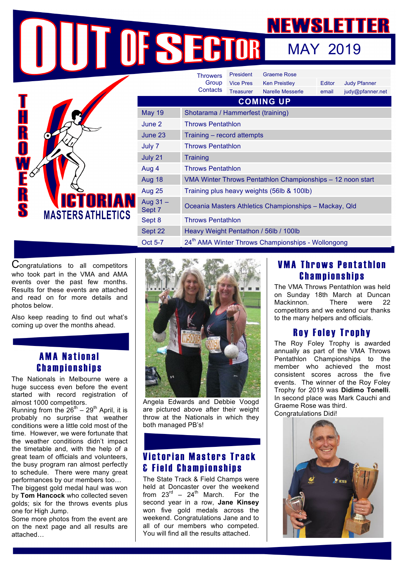MAY 2019

|                          |                      | <b>Throwers</b>                                               | <b>President</b> | <b>Graeme Rose</b>      |        |                     |  |
|--------------------------|----------------------|---------------------------------------------------------------|------------------|-------------------------|--------|---------------------|--|
|                          |                      | Group                                                         | <b>Vice Pres</b> | <b>Ken Preistley</b>    | Editor | <b>Judy Pfanner</b> |  |
|                          |                      | Contacts                                                      | <b>Treasurer</b> | <b>Narelle Messerle</b> | email  | judy@pfanner.net    |  |
|                          | <b>COMING UP</b>     |                                                               |                  |                         |        |                     |  |
| <b>MASTERS ATHLETICS</b> | <b>May 19</b>        | Shotarama / Hammerfest (training)                             |                  |                         |        |                     |  |
|                          | June 2               | <b>Throws Pentathlon</b>                                      |                  |                         |        |                     |  |
|                          | June 23              | Training - record attempts                                    |                  |                         |        |                     |  |
|                          | July 7               | <b>Throws Pentathlon</b>                                      |                  |                         |        |                     |  |
|                          | July 21              | <b>Training</b>                                               |                  |                         |        |                     |  |
|                          | Aug 4                | <b>Throws Pentathlon</b>                                      |                  |                         |        |                     |  |
|                          | Aug 18               | VMA Winter Throws Pentathlon Championships - 12 noon start    |                  |                         |        |                     |  |
|                          | <b>Aug 25</b>        | Training plus heavy weights (56lb & 100lb)                    |                  |                         |        |                     |  |
|                          | Aug $31 -$<br>Sept 7 | Oceania Masters Athletics Championships - Mackay, Qld         |                  |                         |        |                     |  |
|                          | Sept 8               | <b>Throws Pentathlon</b>                                      |                  |                         |        |                     |  |
|                          | Sept 22              | Heavy Weight Pentathon / 56lb / 100lb                         |                  |                         |        |                     |  |
|                          | Oct 5-7              | 24 <sup>th</sup> AMA Winter Throws Championships - Wollongong |                  |                         |        |                     |  |

Congratulations to all competitors who took part in the VMA and AMA events over the past few months. Results for these events are attached and read on for more details and photos below.

Also keep reading to find out what's coming up over the months ahead.

## AMA National Championships

The Nationals in Melbourne were a huge success even before the event started with record registration of almost 1000 competitors.

Running from the  $26^{th} - 29^{th}$  April, it is probably no surprise that weather conditions were a little cold most of the time. However, we were fortunate that the weather conditions didn't impact the timetable and, with the help of a great team of officials and volunteers, the busy program ran almost perfectly to schedule. There were many great performances by our members too…

The biggest gold medal haul was won by **Tom Hancock** who collected seven golds; six for the throws events plus one for High Jump.

Some more photos from the event are on the next page and all results are attached…



Angela Edwards and Debbie Voogd are pictured above after their weight throw at the Nationals in which they both managed PB's!

# Victorian Masters Track & Field Championships

The State Track & Field Champs were held at Doncaster over the weekend from  $23^{\text{rd}} - 24^{\text{th}}$  March. For the second year in a row, **Jane Kinsey**  won five gold medals across the weekend. Congratulations Jane and to all of our members who competed. You will find all the results attached.

# VMA Throws Pentathlon Championships

The VMA Throws Pentathlon was held on Sunday 18th March at Duncan Mackinnon. There were 22 competitors and we extend our thanks to the many helpers and officials.

# Roy Foley Trophy

The Roy Foley Trophy is awarded annually as part of the VMA Throws Pentathlon Championships to the member who achieved the most consistent scores across the five events. The winner of the Roy Foley Trophy for 2019 was **Didimo Tonelli**. In second place was Mark Cauchi and Graeme Rose was third. Congratulations Didi!